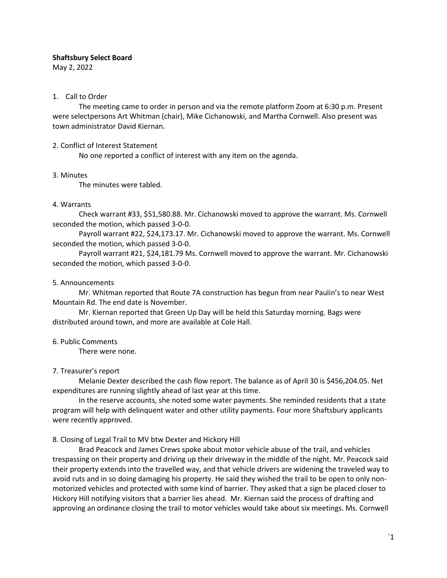### **Shaftsbury Select Board**

May 2, 2022

# 1. Call to Order

The meeting came to order in person and via the remote platform Zoom at 6:30 p.m. Present were selectpersons Art Whitman (chair), Mike Cichanowski, and Martha Cornwell. Also present was town administrator David Kiernan.

## 2. Conflict of Interest Statement

No one reported a conflict of interest with any item on the agenda.

## 3. Minutes

The minutes were tabled.

## 4. Warrants

Check warrant #33, \$51,580.88. Mr. Cichanowski moved to approve the warrant. Ms. Cornwell seconded the motion, which passed 3-0-0.

Payroll warrant #22, \$24,173.17. Mr. Cichanowski moved to approve the warrant. Ms. Cornwell seconded the motion, which passed 3-0-0.

Payroll warrant #21, \$24,181.79 Ms. Cornwell moved to approve the warrant. Mr. Cichanowski seconded the motion, which passed 3-0-0.

## 5. Announcements

Mr. Whitman reported that Route 7A construction has begun from near Paulin's to near West Mountain Rd. The end date is November.

Mr. Kiernan reported that Green Up Day will be held this Saturday morning. Bags were distributed around town, and more are available at Cole Hall.

# 6. Public Comments

There were none.

# 7. Treasurer's report

Melanie Dexter described the cash flow report. The balance as of April 30 is \$456,204.05. Net expenditures are running slightly ahead of last year at this time.

In the reserve accounts, she noted some water payments. She reminded residents that a state program will help with delinquent water and other utility payments. Four more Shaftsbury applicants were recently approved.

# 8. Closing of Legal Trail to MV btw Dexter and Hickory Hill

Brad Peacock and James Crews spoke about motor vehicle abuse of the trail, and vehicles trespassing on their property and driving up their driveway in the middle of the night. Mr. Peacock said their property extends into the travelled way, and that vehicle drivers are widening the traveled way to avoid ruts and in so doing damaging his property. He said they wished the trail to be open to only nonmotorized vehicles and protected with some kind of barrier. They asked that a sign be placed closer to Hickory Hill notifying visitors that a barrier lies ahead. Mr. Kiernan said the process of drafting and approving an ordinance closing the trail to motor vehicles would take about six meetings. Ms. Cornwell